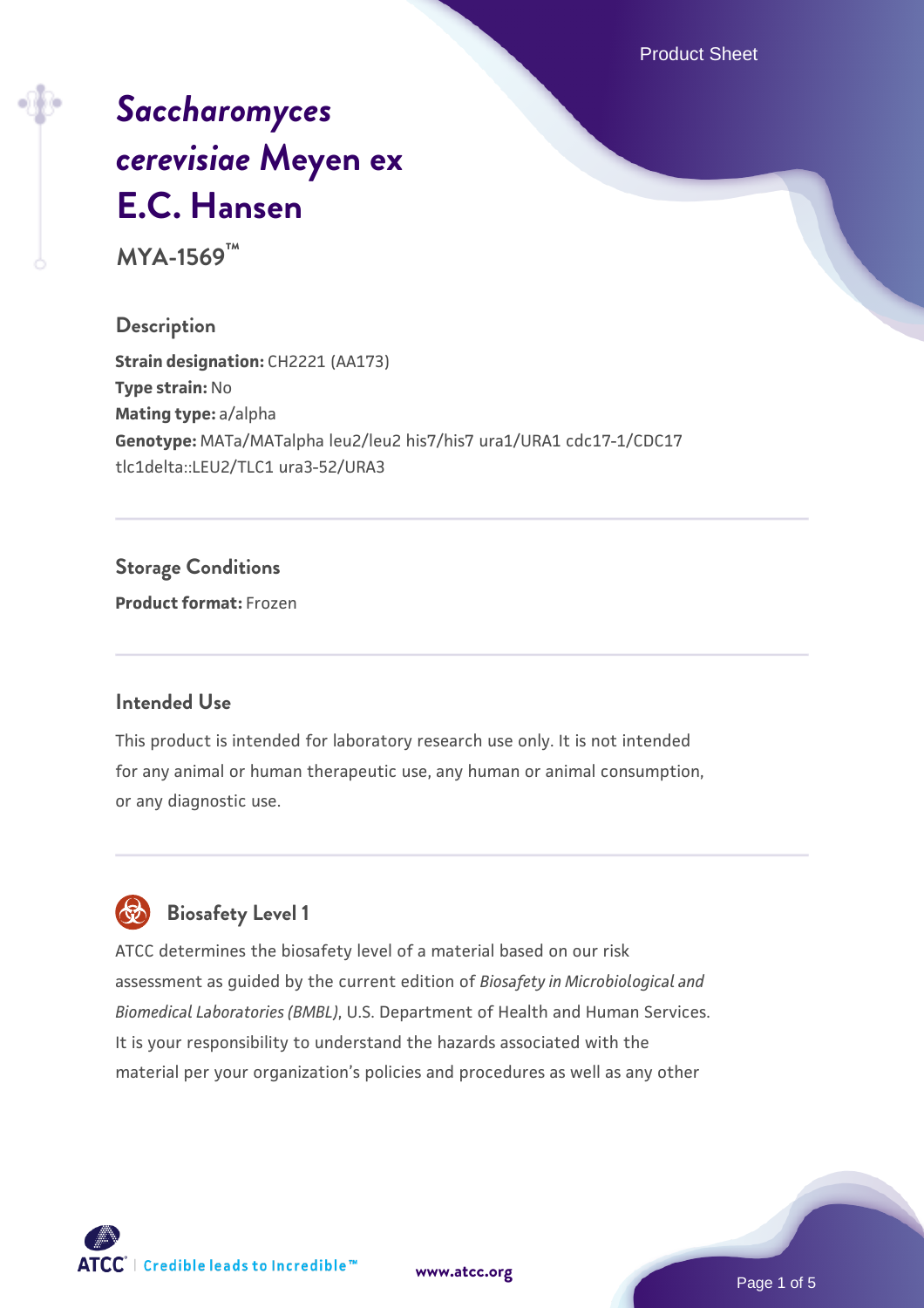Product Sheet

# *[Saccharomyces](https://www.atcc.org/products/mya-1569) [cerevisiae](https://www.atcc.org/products/mya-1569)* **[Meyen ex](https://www.atcc.org/products/mya-1569) [E.C. Hansen](https://www.atcc.org/products/mya-1569)**

**MYA-1569™**

### **Description**

**Strain designation: CH2221 (AA173) Type strain:** No **Mating type:** a/alpha **Genotype:** MATa/MATalpha leu2/leu2 his7/his7 ura1/URA1 cdc17-1/CDC17 tlc1delta::LEU2/TLC1 ura3-52/URA3

### **Storage Conditions**

**Product format:** Frozen

### **Intended Use**

This product is intended for laboratory research use only. It is not intended for any animal or human therapeutic use, any human or animal consumption, or any diagnostic use.



### **Biosafety Level 1**

ATCC determines the biosafety level of a material based on our risk assessment as guided by the current edition of *Biosafety in Microbiological and Biomedical Laboratories (BMBL)*, U.S. Department of Health and Human Services. It is your responsibility to understand the hazards associated with the material per your organization's policies and procedures as well as any other

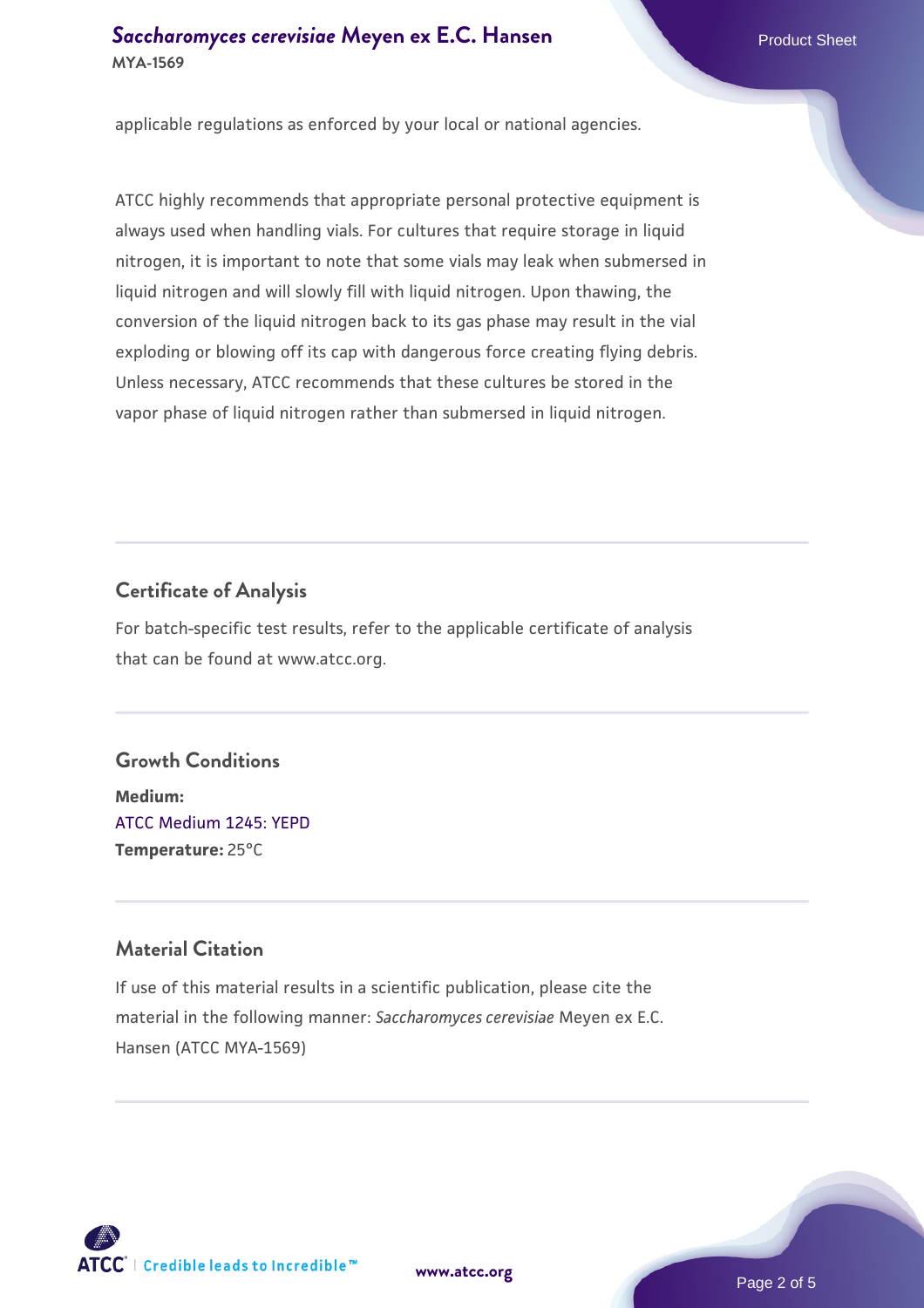### **[Saccharomyces cerevisiae](https://www.atcc.org/products/mya-1569)** [Meyen ex E.C. Hansen](https://www.atcc.org/products/mya-1569) **MYA-1569**

applicable regulations as enforced by your local or national agencies.

ATCC highly recommends that appropriate personal protective equipment is always used when handling vials. For cultures that require storage in liquid nitrogen, it is important to note that some vials may leak when submersed in liquid nitrogen and will slowly fill with liquid nitrogen. Upon thawing, the conversion of the liquid nitrogen back to its gas phase may result in the vial exploding or blowing off its cap with dangerous force creating flying debris. Unless necessary, ATCC recommends that these cultures be stored in the vapor phase of liquid nitrogen rather than submersed in liquid nitrogen.

### **Certificate of Analysis**

For batch-specific test results, refer to the applicable certificate of analysis that can be found at www.atcc.org.

### **Growth Conditions**

**Medium:**  [ATCC Medium 1245: YEPD](https://www.atcc.org/-/media/product-assets/documents/microbial-media-formulations/1/2/4/5/atcc-medium-1245.pdf?rev=705ca55d1b6f490a808a965d5c072196) **Temperature:** 25°C

### **Material Citation**

If use of this material results in a scientific publication, please cite the material in the following manner: *Saccharomyces cerevisiae* Meyen ex E.C. Hansen (ATCC MYA-1569)



**[www.atcc.org](http://www.atcc.org)**

Page 2 of 5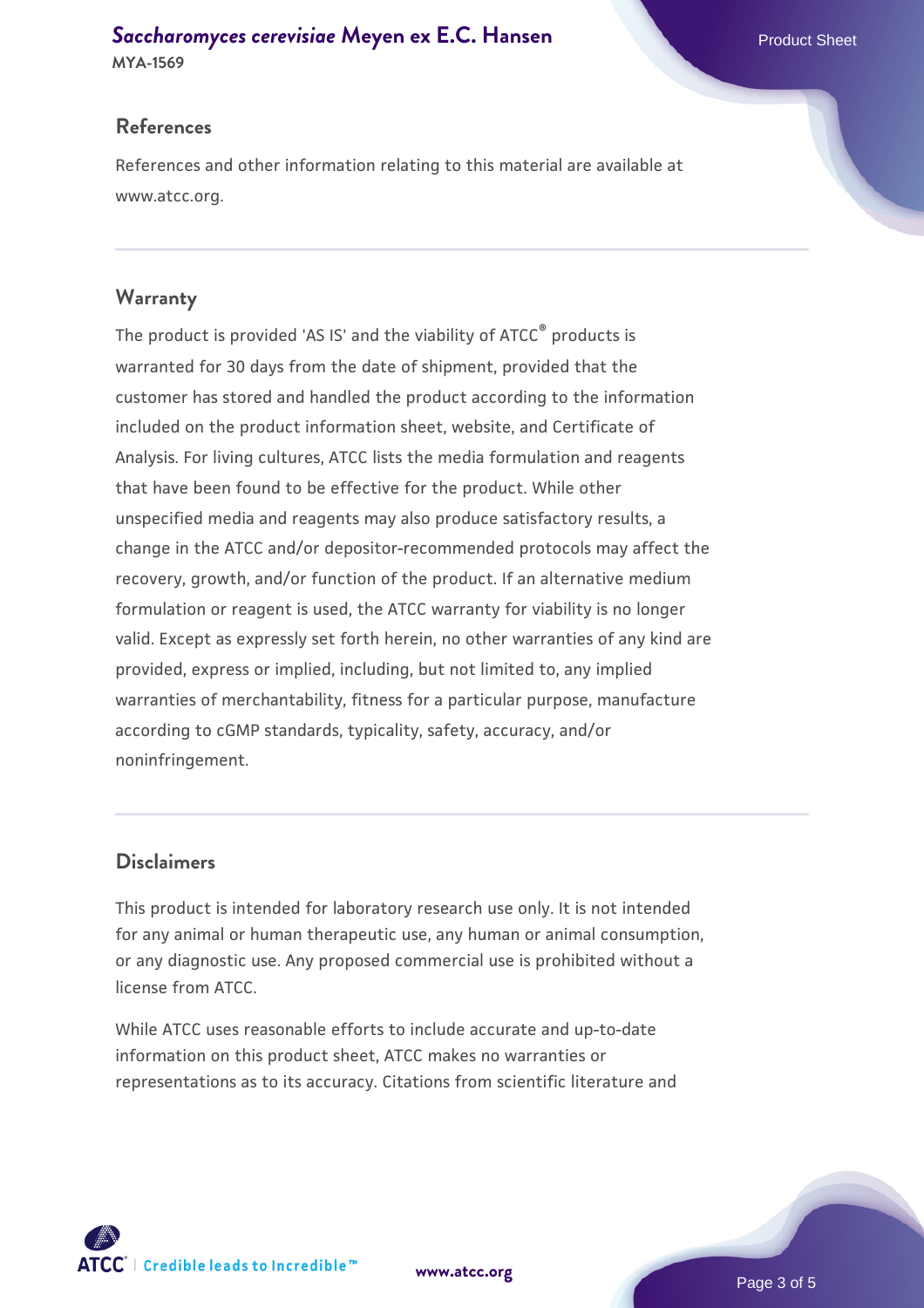## **[Saccharomyces cerevisiae](https://www.atcc.org/products/mya-1569)** [Meyen ex E.C. Hansen](https://www.atcc.org/products/mya-1569)

**MYA-1569**

### **References**

References and other information relating to this material are available at www.atcc.org.

### **Warranty**

The product is provided 'AS IS' and the viability of ATCC® products is warranted for 30 days from the date of shipment, provided that the customer has stored and handled the product according to the information included on the product information sheet, website, and Certificate of Analysis. For living cultures, ATCC lists the media formulation and reagents that have been found to be effective for the product. While other unspecified media and reagents may also produce satisfactory results, a change in the ATCC and/or depositor-recommended protocols may affect the recovery, growth, and/or function of the product. If an alternative medium formulation or reagent is used, the ATCC warranty for viability is no longer valid. Except as expressly set forth herein, no other warranties of any kind are provided, express or implied, including, but not limited to, any implied warranties of merchantability, fitness for a particular purpose, manufacture according to cGMP standards, typicality, safety, accuracy, and/or noninfringement.

### **Disclaimers**

This product is intended for laboratory research use only. It is not intended for any animal or human therapeutic use, any human or animal consumption, or any diagnostic use. Any proposed commercial use is prohibited without a license from ATCC.

While ATCC uses reasonable efforts to include accurate and up-to-date information on this product sheet, ATCC makes no warranties or representations as to its accuracy. Citations from scientific literature and

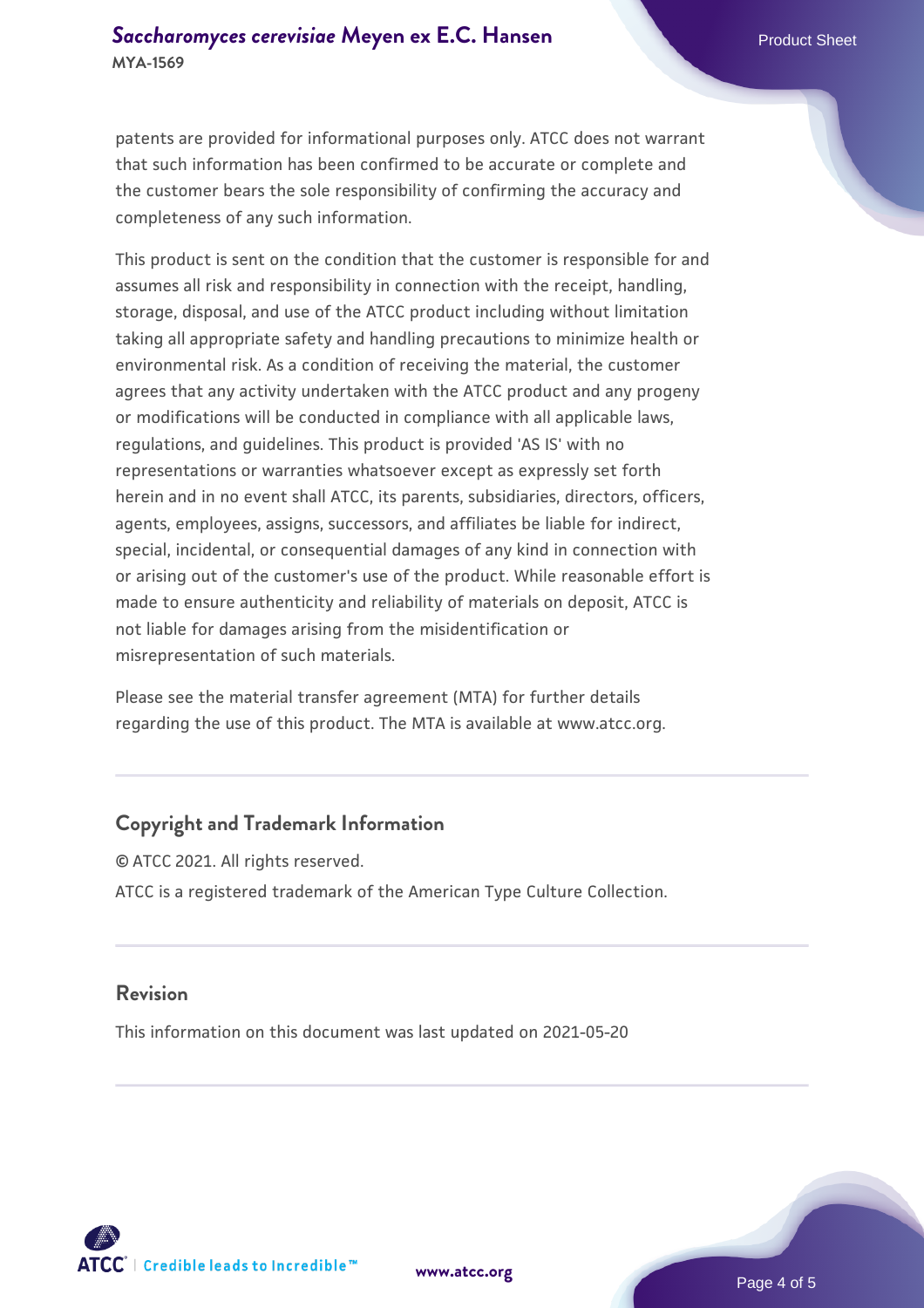patents are provided for informational purposes only. ATCC does not warrant that such information has been confirmed to be accurate or complete and the customer bears the sole responsibility of confirming the accuracy and completeness of any such information.

This product is sent on the condition that the customer is responsible for and assumes all risk and responsibility in connection with the receipt, handling, storage, disposal, and use of the ATCC product including without limitation taking all appropriate safety and handling precautions to minimize health or environmental risk. As a condition of receiving the material, the customer agrees that any activity undertaken with the ATCC product and any progeny or modifications will be conducted in compliance with all applicable laws, regulations, and guidelines. This product is provided 'AS IS' with no representations or warranties whatsoever except as expressly set forth herein and in no event shall ATCC, its parents, subsidiaries, directors, officers, agents, employees, assigns, successors, and affiliates be liable for indirect, special, incidental, or consequential damages of any kind in connection with or arising out of the customer's use of the product. While reasonable effort is made to ensure authenticity and reliability of materials on deposit, ATCC is not liable for damages arising from the misidentification or misrepresentation of such materials.

Please see the material transfer agreement (MTA) for further details regarding the use of this product. The MTA is available at www.atcc.org.

### **Copyright and Trademark Information**

© ATCC 2021. All rights reserved. ATCC is a registered trademark of the American Type Culture Collection.

### **Revision**

This information on this document was last updated on 2021-05-20



**[www.atcc.org](http://www.atcc.org)**